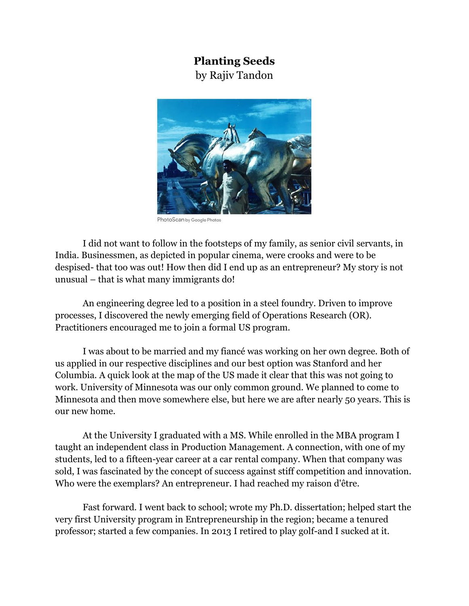## **Planting Seeds**

by Rajiv Tandon



PhotoScan by Google Photos

I did not want to follow in the footsteps of my family, as senior civil servants, in India. Businessmen, as depicted in popular cinema, were crooks and were to be despised- that too was out! How then did I end up as an entrepreneur? My story is not unusual – that is what many immigrants do!

An engineering degree led to a position in a steel foundry. Driven to improve processes, I discovered the newly emerging field of Operations Research (OR). Practitioners encouraged me to join a formal US program.

I was about to be married and my fiancé was working on her own degree. Both of us applied in our respective disciplines and our best option was Stanford and her Columbia. A quick look at the map of the US made it clear that this was not going to work. University of Minnesota was our only common ground. We planned to come to Minnesota and then move somewhere else, but here we are after nearly 50 years. This is our new home.

At the University I graduated with a MS. While enrolled in the MBA program I taught an independent class in Production Management. A connection, with one of my students, led to a fifteen-year career at a car rental company. When that company was sold, I was fascinated by the concept of success against stiff competition and innovation. Who were the exemplars? An entrepreneur. I had reached my raison d'être.

Fast forward. I went back to school; wrote my Ph.D. dissertation; helped start the very first University program in Entrepreneurship in the region; became a tenured professor; started a few companies. In 2013 I retired to play golf-and I sucked at it.